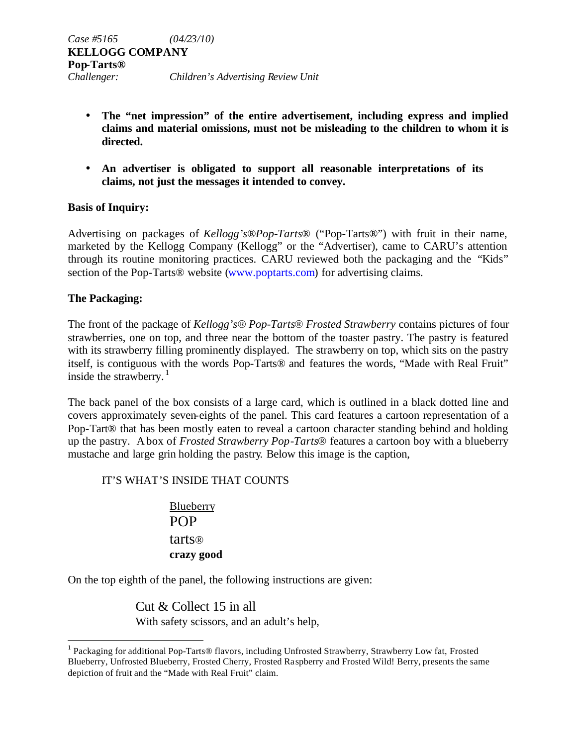- **The "net impression" of the entire advertisement, including express and implied claims and material omissions, must not be misleading to the children to whom it is directed.**
- **An advertiser is obligated to support all reasonable interpretations of its claims, not just the messages it intended to convey.**

## **Basis of Inquiry:**

Advertising on packages of *Kellogg's®Pop-Tarts®* ("Pop-Tarts®") with fruit in their name, marketed by the Kellogg Company (Kellogg" or the "Advertiser), came to CARU's attention through its routine monitoring practices. CARU reviewed both the packaging and the "Kids" section of the Pop-Tarts® website (www.poptarts.com) for advertising claims.

### **The Packaging:**

 $\overline{a}$ 

The front of the package of *Kellogg's® Pop-Tarts*® *Frosted Strawberry* contains pictures of four strawberries, one on top, and three near the bottom of the toaster pastry. The pastry is featured with its strawberry filling prominently displayed. The strawberry on top, which sits on the pastry itself, is contiguous with the words Pop-Tarts® and features the words, "Made with Real Fruit" inside the strawberry. $1$ 

The back panel of the box consists of a large card, which is outlined in a black dotted line and covers approximately seven-eights of the panel. This card features a cartoon representation of a Pop-Tart® that has been mostly eaten to reveal a cartoon character standing behind and holding up the pastry. A box of *Frosted Strawberry Pop-Tarts*® features a cartoon boy with a blueberry mustache and large grin holding the pastry. Below this image is the caption,

### IT'S WHAT'S INSIDE THAT COUNTS

Blueberry POP tarts® **crazy good**

On the top eighth of the panel, the following instructions are given:

Cut & Collect 15 in all With safety scissors, and an adult's help,

<sup>&</sup>lt;sup>1</sup> Packaging for additional Pop-Tarts® flavors, including Unfrosted Strawberry, Strawberry Low fat, Frosted Blueberry, Unfrosted Blueberry, Frosted Cherry, Frosted Raspberry and Frosted Wild! Berry, presents the same depiction of fruit and the "Made with Real Fruit" claim.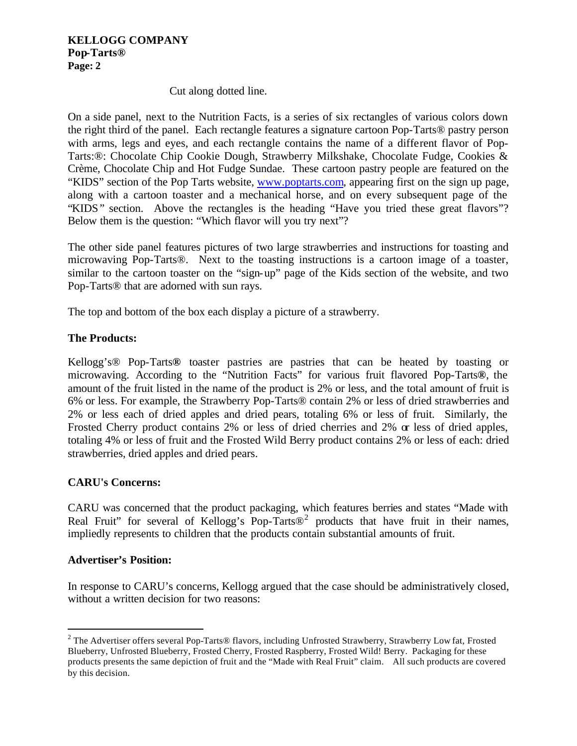### **KELLOGG COMPANY Pop-Tarts® Page: 2**

### Cut along dotted line.

On a side panel, next to the Nutrition Facts, is a series of six rectangles of various colors down the right third of the panel. Each rectangle features a signature cartoon Pop-Tarts® pastry person with arms, legs and eyes, and each rectangle contains the name of a different flavor of Pop-Tarts:®: Chocolate Chip Cookie Dough, Strawberry Milkshake, Chocolate Fudge, Cookies & Crème, Chocolate Chip and Hot Fudge Sundae. These cartoon pastry people are featured on the "KIDS" section of the Pop Tarts website, www.poptarts.com, appearing first on the sign up page, along with a cartoon toaster and a mechanical horse, and on every subsequent page of the "KIDS" section. Above the rectangles is the heading "Have you tried these great flavors"? Below them is the question: "Which flavor will you try next"?

The other side panel features pictures of two large strawberries and instructions for toasting and microwaving Pop-Tarts®. Next to the toasting instructions is a cartoon image of a toaster, similar to the cartoon toaster on the "sign-up" page of the Kids section of the website, and two Pop-Tarts® that are adorned with sun rays.

The top and bottom of the box each display a picture of a strawberry.

### **The Products:**

Kellogg's® Pop-Tarts**®** toaster pastries are pastries that can be heated by toasting or microwaving. According to the "Nutrition Facts" for various fruit flavored Pop-Tarts**®**, the amount of the fruit listed in the name of the product is 2% or less, and the total amount of fruit is 6% or less. For example, the Strawberry Pop-Tarts® contain 2% or less of dried strawberries and 2% or less each of dried apples and dried pears, totaling 6% or less of fruit. Similarly, the Frosted Cherry product contains 2% or less of dried cherries and 2% or less of dried apples, totaling 4% or less of fruit and the Frosted Wild Berry product contains 2% or less of each: dried strawberries, dried apples and dried pears.

### **CARU's Concerns:**

CARU was concerned that the product packaging, which features berries and states "Made with Real Fruit" for several of Kellogg's Pop-Tarts $\mathbb{D}^2$  products that have fruit in their names, impliedly represents to children that the products contain substantial amounts of fruit.

#### **Advertiser's Position:**

 $\overline{a}$ 

In response to CARU's concerns, Kellogg argued that the case should be administratively closed, without a written decision for two reasons:

 $2$  The Advertiser offers several Pop-Tarts® flavors, including Unfrosted Strawberry, Strawberry Low fat, Frosted Blueberry, Unfrosted Blueberry, Frosted Cherry, Frosted Raspberry, Frosted Wild! Berry. Packaging for these products presents the same depiction of fruit and the "Made with Real Fruit" claim. All such products are covered by this decision.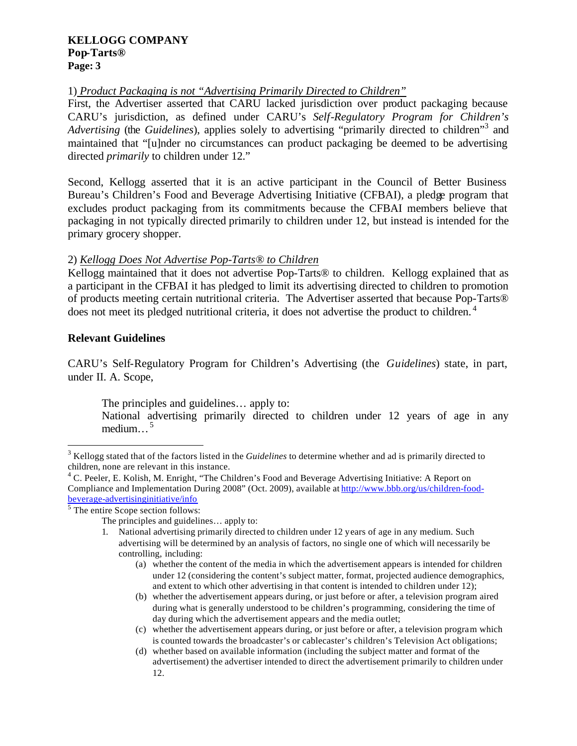#### **KELLOGG COMPANY Pop-Tarts® Page: 3**

## 1) *Product Packaging is not "Advertising Primarily Directed to Children"*

First, the Advertiser asserted that CARU lacked jurisdiction over product packaging because CARU's jurisdiction, as defined under CARU's *Self-Regulatory Program for Children's* Advertising (the Guidelines), applies solely to advertising "primarily directed to children"<sup>3</sup> and maintained that "[u]nder no circumstances can product packaging be deemed to be advertising directed *primarily* to children under 12."

Second, Kellogg asserted that it is an active participant in the Council of Better Business Bureau's Children's Food and Beverage Advertising Initiative (CFBAI), a pledge program that excludes product packaging from its commitments because the CFBAI members believe that packaging in not typically directed primarily to children under 12, but instead is intended for the primary grocery shopper.

## 2) *Kellogg Does Not Advertise Pop-Tarts® to Children*

Kellogg maintained that it does not advertise Pop-Tarts® to children. Kellogg explained that as a participant in the CFBAI it has pledged to limit its advertising directed to children to promotion of products meeting certain nutritional criteria. The Advertiser asserted that because Pop-Tarts® does not meet its pledged nutritional criteria, it does not advertise the product to children.<sup>4</sup>

## **Relevant Guidelines**

 $\overline{a}$ 

CARU's Self-Regulatory Program for Children's Advertising (the *Guidelines*) state, in part, under II. A. Scope,

The principles and guidelines… apply to:

National advertising primarily directed to children under 12 years of age in any medium... $^5$ 

<sup>5</sup> The entire Scope section follows:

- (a) whether the content of the media in which the advertisement appears is intended for children under 12 (considering the content's subject matter, format, projected audience demographics, and extent to which other advertising in that content is intended to children under 12);
- (b) whether the advertisement appears during, or just before or after, a television program aired during what is generally understood to be children's programming, considering the time of day during which the advertisement appears and the media outlet;
- (c) whether the advertisement appears during, or just before or after, a television program which is counted towards the broadcaster's or cablecaster's children's Television Act obligations;
- (d) whether based on available information (including the subject matter and format of the advertisement) the advertiser intended to direct the advertisement primarily to children under 12.

<sup>&</sup>lt;sup>3</sup> Kellogg stated that of the factors listed in the *Guidelines* to determine whether and ad is primarily directed to children, none are relevant in this instance.

<sup>&</sup>lt;sup>4</sup> C. Peeler, E. Kolish, M. Enright, "The Children's Food and Beverage Advertising Initiative: A Report on Compliance and Implementation During 2008" (Oct. 2009), available at http://www.bbb.org/us/children-foodbeverage-advertisinginitiative/info

The principles and guidelines… apply to:

<sup>1.</sup> National advertising primarily directed to children under 12 years of age in any medium. Such advertising will be determined by an analysis of factors, no single one of which will necessarily be controlling, including: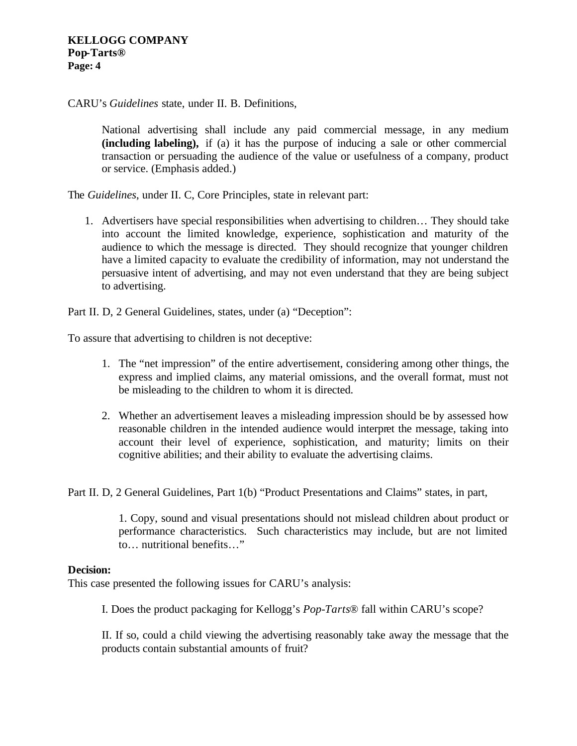CARU's *Guidelines* state, under II. B. Definitions,

National advertising shall include any paid commercial message, in any medium **(including labeling),** if (a) it has the purpose of inducing a sale or other commercial transaction or persuading the audience of the value or usefulness of a company, product or service. (Emphasis added.)

The *Guidelines*, under II. C, Core Principles, state in relevant part:

1. Advertisers have special responsibilities when advertising to children… They should take into account the limited knowledge, experience, sophistication and maturity of the audience to which the message is directed. They should recognize that younger children have a limited capacity to evaluate the credibility of information, may not understand the persuasive intent of advertising, and may not even understand that they are being subject to advertising.

Part II. D, 2 General Guidelines, states, under (a) "Deception":

To assure that advertising to children is not deceptive:

- 1. The "net impression" of the entire advertisement, considering among other things, the express and implied claims, any material omissions, and the overall format, must not be misleading to the children to whom it is directed.
- 2. Whether an advertisement leaves a misleading impression should be by assessed how reasonable children in the intended audience would interpret the message, taking into account their level of experience, sophistication, and maturity; limits on their cognitive abilities; and their ability to evaluate the advertising claims.

Part II. D, 2 General Guidelines, Part 1(b) "Product Presentations and Claims" states, in part,

1. Copy, sound and visual presentations should not mislead children about product or performance characteristics. Such characteristics may include, but are not limited to… nutritional benefits…"

#### **Decision:**

This case presented the following issues for CARU's analysis:

I. Does the product packaging for Kellogg's *Pop-Tarts*® fall within CARU's scope?

II. If so, could a child viewing the advertising reasonably take away the message that the products contain substantial amounts of fruit?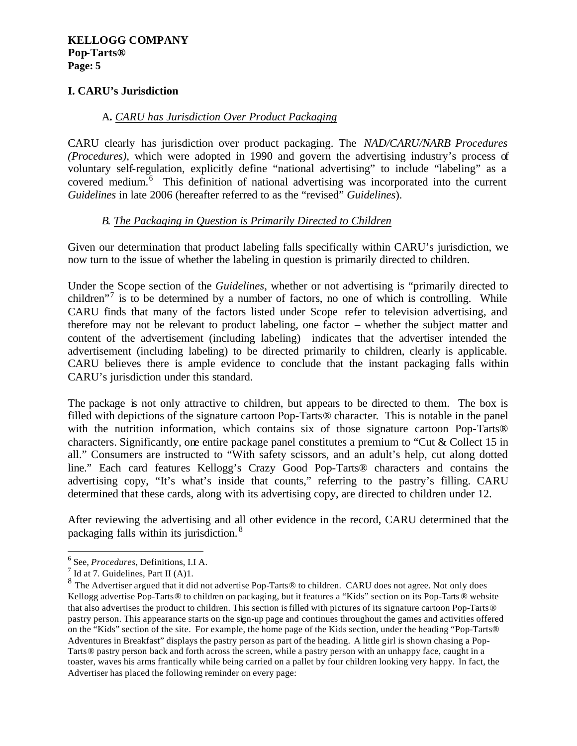# **I. CARU's Jurisdiction**

### A**.** *CARU has Jurisdiction Over Product Packaging*

CARU clearly has jurisdiction over product packaging. The *NAD/CARU/NARB Procedures (Procedures)*, which were adopted in 1990 and govern the advertising industry's process of voluntary self-regulation, explicitly define "national advertising" to include "labeling" as a covered medium.<sup>6</sup> This definition of national advertising was incorporated into the current *Guidelines* in late 2006 (hereafter referred to as the "revised" *Guidelines*).

## *B. The Packaging in Question is Primarily Directed to Children*

Given our determination that product labeling falls specifically within CARU's jurisdiction, we now turn to the issue of whether the labeling in question is primarily directed to children.

Under the Scope section of the *Guidelines*, whether or not advertising is "primarily directed to children"<sup>7</sup> is to be determined by a number of factors, no one of which is controlling. While CARU finds that many of the factors listed under Scope refer to television advertising, and therefore may not be relevant to product labeling, one factor – whether the subject matter and content of the advertisement (including labeling) indicates that the advertiser intended the advertisement (including labeling) to be directed primarily to children, clearly is applicable. CARU believes there is ample evidence to conclude that the instant packaging falls within CARU's jurisdiction under this standard.

The package is not only attractive to children, but appears to be directed to them. The box is filled with depictions of the signature cartoon Pop-Tarts® character. This is notable in the panel with the nutrition information, which contains six of those signature cartoon Pop-Tarts® characters. Significantly, one entire package panel constitutes a premium to "Cut & Collect 15 in all." Consumers are instructed to "With safety scissors, and an adult's help, cut along dotted line." Each card features Kellogg's Crazy Good Pop-Tarts® characters and contains the advertising copy, "It's what's inside that counts," referring to the pastry's filling. CARU determined that these cards, along with its advertising copy, are directed to children under 12.

After reviewing the advertising and all other evidence in the record, CARU determined that the packaging falls within its jurisdiction. <sup>8</sup>

 $\overline{a}$ 

<sup>6</sup> See, *Procedures*, Definitions, I.I A.

 $<sup>7</sup>$  Id at 7. Guidelines, Part II (A)1.</sup>

<sup>&</sup>lt;sup>8</sup> The Advertiser argued that it did not advertise Pop-Tarts® to children. CARU does not agree. Not only does Kellogg advertise Pop-Tarts® to children on packaging, but it features a "Kids" section on its Pop-Tarts® website that also advertises the product to children. This section is filled with pictures of its signature cartoon Pop-Tarts® pastry person. This appearance starts on the sign-up page and continues throughout the games and activities offered on the "Kids" section of the site. For example, the home page of the Kids section, under the heading "Pop-Tarts® Adventures in Breakfast" displays the pastry person as part of the heading. A little girl is shown chasing a Pop-Tarts® pastry person back and forth across the screen, while a pastry person with an unhappy face, caught in a toaster, waves his arms frantically while being carried on a pallet by four children looking very happy. In fact, the Advertiser has placed the following reminder on every page: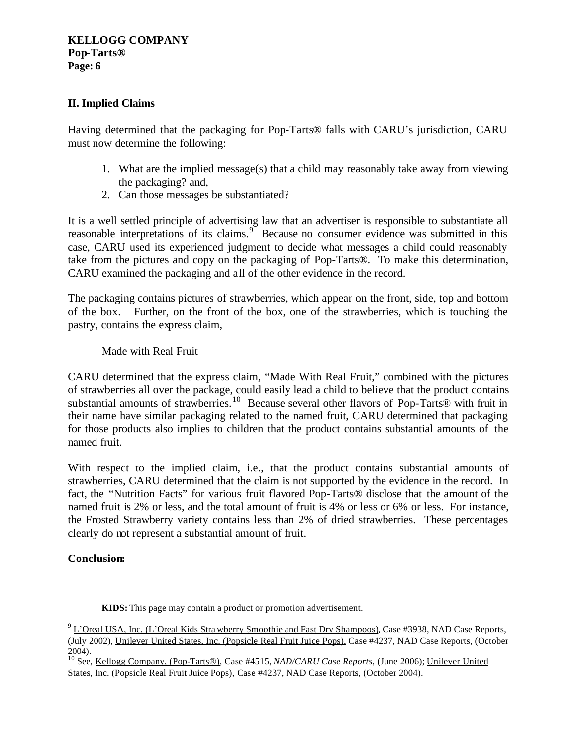# **II. Implied Claims**

Having determined that the packaging for Pop-Tarts® falls with CARU's jurisdiction, CARU must now determine the following:

- 1. What are the implied message(s) that a child may reasonably take away from viewing the packaging? and,
- 2. Can those messages be substantiated?

It is a well settled principle of advertising law that an advertiser is responsible to substantiate all reasonable interpretations of its claims.<sup>9</sup> Because no consumer evidence was submitted in this case, CARU used its experienced judgment to decide what messages a child could reasonably take from the pictures and copy on the packaging of Pop-Tarts®. To make this determination, CARU examined the packaging and all of the other evidence in the record.

The packaging contains pictures of strawberries, which appear on the front, side, top and bottom of the box. Further, on the front of the box, one of the strawberries, which is touching the pastry, contains the express claim,

Made with Real Fruit

CARU determined that the express claim, "Made With Real Fruit," combined with the pictures of strawberries all over the package, could easily lead a child to believe that the product contains substantial amounts of strawberries.<sup>10</sup> Because several other flavors of Pop-Tarts® with fruit in their name have similar packaging related to the named fruit, CARU determined that packaging for those products also implies to children that the product contains substantial amounts of the named fruit.

With respect to the implied claim, i.e., that the product contains substantial amounts of strawberries, CARU determined that the claim is not supported by the evidence in the record. In fact, the "Nutrition Facts" for various fruit flavored Pop-Tarts® disclose that the amount of the named fruit is 2% or less, and the total amount of fruit is 4% or less or 6% or less. For instance, the Frosted Strawberry variety contains less than 2% of dried strawberries. These percentages clearly do not represent a substantial amount of fruit.

# **Conclusion:**

 $\overline{a}$ 

**KIDS:** This page may contain a product or promotion advertisement.

<sup>&</sup>lt;sup>9</sup> L'Oreal USA, Inc. (L'Oreal Kids Stra wberry Smoothie and Fast Dry Shampoos), Case #3938, NAD Case Reports, (July 2002), Unilever United States, Inc. (Popsicle Real Fruit Juice Pops), Case #4237, NAD Case Reports, (October 2004).

<sup>10</sup> See, Kellogg Company, (Pop-Tarts®), Case #4515, *NAD/CARU Case Reports*, (June 2006); Unilever United States, Inc. (Popsicle Real Fruit Juice Pops), Case #4237, NAD Case Reports, (October 2004).